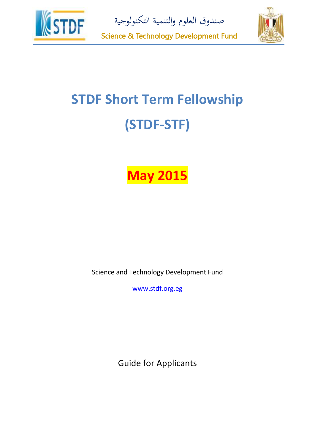

صندوق العلوم والتنمية التكنولوجية



Science & Technology Development Fund

# **STDF Short Term Fellowship (STDF-STF)**

## **May 2015**

Science and Technology Development Fund

www.stdf.org.eg

Guide for Applicants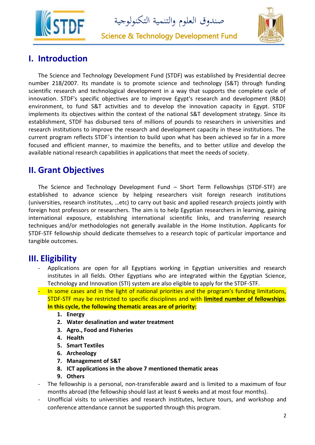

صندوق العلوم والتنمية التكنولوجية

Science & Technology Development Fund



## **I. Introduction**

The Science and Technology Development Fund (STDF) was established by Presidential decree number 218/2007. Its mandate is to promote science and technology (S&T) through funding scientific research and technological development in a way that supports the complete cycle of innovation. STDF's specific objectives are to improve Egypt's research and development (R&D) environment, to fund S&T activities and to develop the innovation capacity in Egypt. STDF implements its objectives within the context of the national S&T development strategy. Since its establishment, STDF has disbursed tens of millions of pounds to researchers in universities and research institutions to improve the research and development capacity in these institutions. The current program reflects STDF's intention to build upon what has been achieved so far in a more focused and efficient manner, to maximize the benefits, and to better utilize and develop the available national research capabilities in applications that meet the needs of society.

## **II. Grant Objectives**

The Science and Technology Development Fund – Short Term Fellowships (STDF-STF) are established to advance science by helping researchers visit foreign research institutions (universities, research institutes, …etc) to carry out basic and applied research projects jointly with foreign host professors or researchers. The aim is to help Egyptian researchers in learning, gaining international exposure, establishing international scientific links, and transferring research techniques and/or methodologies not generally available in the Home Institution. Applicants for STDF-STF fellowship should dedicate themselves to a research topic of particular importance and tangible outcomes.

#### **III. Eligibility**

- Applications are open for all Egyptians working in Egyptian universities and research institutes in all fields. Other Egyptians who are integrated within the Egyptian Science, Technology and Innovation (STI) system are also eligible to apply for the STDF-STF.
- In some cases and in the light of national priorities and the program's funding limitations, STDF-STF may be restricted to specific disciplines and with **limited number of fellowships**. **In this cycle, the following thematic areas are of priority:**
	- **1. Energy**
	- **2. Water desalination and water treatment**
	- **3. Agro., Food and Fisheries**
	- **4. Health**
	- **5. Smart Textiles**
	- **6. Archeology**
	- **7. Management of S&T**
	- **8. ICT applications in the above 7 mentioned thematic areas**
	- **9. Others**
- The fellowship is a personal, non-transferable award and is limited to a maximum of four months abroad (the fellowship should last at least 6 weeks and at most four months).
- Unofficial visits to universities and research institutes, lecture tours, and workshop and conference attendance cannot be supported through this program.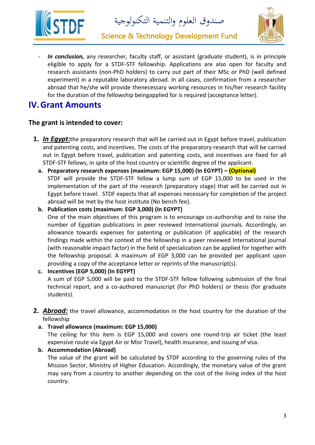



Science & Technology Development Fund

In conclusion, any researcher, faculty staff, or assistant (graduate student), is in principle eligible to apply for a STDF-STF fellowship. Applications are also open for faculty and research assistants (non-PhD holders) to carry out part of their MSc or PhD (well defined experiment) in a reputable laboratory abroad. In all cases, confirmation from a researcher abroad that he/she will provide thenecessary working resources in his/her research facility for the duration of the fellowship beingapplied for is required (acceptance letter).

### **IV.Grant Amounts**

#### **The grant is intended to cover:**

- **1.** *In Egypt:*the preparatory research that will be carried out in Egypt before travel, publication and patenting costs, and incentives. The costs of the preparatory research that will be carried out in Egypt before travel, publication and patenting costs, and incentives are fixed for all STDF-STF fellows, in spite of the host country or scientific degree of the applicant.
	- **a. Preparatory research expenses (maximum: EGP 15,000) (In EGYPT) – (Optional)** STDF will provide the STDF-STF fellow a lump sum of EGP 15,000 to be used in the implementation of the part of the research (preparatory stage) that will be carried out in Egypt before travel. STDF expects that all expenses necessary for completion of the project abroad will be met by the host institute (No bench fee).
	- **b. Publication costs (maximum: EGP 3,000) (In EGYPT)** One of the main objectives of this program is to encourage co-authorship and to raise the number of Egyptian publications in peer reviewed International journals. Accordingly, an allowance towards expenses for patenting or publication (if applicable) of the research findings made within the context of the fellowship in a peer reviewed International journal (with reasonable impact factor) in the field of specialization can be applied for together with the fellowship proposal. A maximum of EGP 3,000 can be provided per applicant upon providing a copy of the acceptance letter or reprints of the manuscript(s).
	- **c. Incentives (EGP 5,000) (In EGYPT)**  A sum of EGP 5,000 will be paid to the STDF-STF fellow following submission of the final technical report, and a co-authored manuscript (for PhD holders) or thesis (for graduate students).
- **2.** *Abroad:* the travel allowance, accommodation in the host country for the duration of the fellowship
	- **a. Travel allowance (maximum: EGP 15,000)**

The ceiling for this item is EGP 15,000 and covers one round-trip air ticket (the least expensive route via Egypt Air or Misr Travel), health insurance, and issuing of visa.

**b. Accommodation (Abroad)**

The value of the grant will be calculated by STDF according to the governing rules of the Mission Sector, Ministry of Higher Education. Accordingly, the monetary value of the grant may vary from a country to another depending on the cost of the living index of the host country.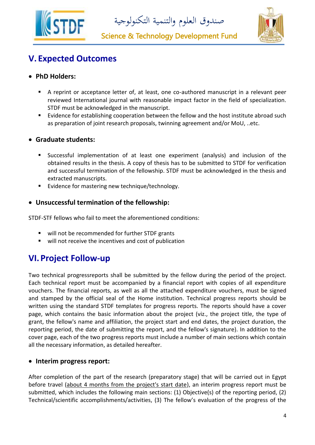

صندوق العلوم والتنمية التكنولوجية

Science & Technology Development Fund



## **V. Expected Outcomes**

#### **PhD Holders:**

- A reprint or acceptance letter of, at least, one co-authored manuscript in a relevant peer reviewed International journal with reasonable impact factor in the field of specialization. STDF must be acknowledged in the manuscript.
- Evidence for establishing cooperation between the fellow and the host institute abroad such as preparation of joint research proposals, twinning agreement and/or MoU, ..etc.

#### **Graduate students:**

- Successful implementation of at least one experiment (analysis) and inclusion of the obtained results in the thesis. A copy of thesis has to be submitted to STDF for verification and successful termination of the fellowship. STDF must be acknowledged in the thesis and extracted manuscripts.
- **E** Evidence for mastering new technique/technology.

#### **Unsuccessful termination of the fellowship:**

STDF-STF fellows who fail to meet the aforementioned conditions:

- will not be recommended for further STDF grants
- will not receive the incentives and cost of publication

## **VI.Project Follow-up**

Two technical progressreports shall be submitted by the fellow during the period of the project. Each technical report must be accompanied by a financial report with copies of all expenditure vouchers. The financial reports, as well as all the attached expenditure vouchers, must be signed and stamped by the official seal of the Home institution. Technical progress reports should be written using the standard STDF templates for progress reports. The reports should have a cover page, which contains the basic information about the project (viz., the project title, the type of grant, the fellow's name and affiliation, the project start and end dates, the project duration, the reporting period, the date of submitting the report, and the fellow's signature). In addition to the cover page, each of the two progress reports must include a number of main sections which contain all the necessary information, as detailed hereafter.

#### **Interim progress report:**

After completion of the part of the research (preparatory stage) that will be carried out in Egypt before travel (about 4 months from the project's start date), an interim progress report must be submitted, which includes the following main sections: (1) Objective(s) of the reporting period, (2) Technical/scientific accomplishments/activities, (3) The fellow's evaluation of the progress of the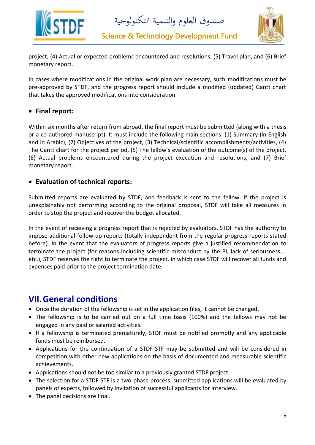



Science & Technology Development Fund

project, (4) Actual or expected problems encountered and resolutions, (5) Travel plan, and (6) Brief monetary report.

In cases where modifications in the original work plan are necessary, such modifications must be pre-approved by STDF, and the progress report should include a modified (updated) Gantt chart that takes the approved modifications into consideration.

#### **Final report:**

Within six months after return from abroad, the final report must be submitted (along with a thesis or a co-authored manuscript). It must include the following main sections: (1) Summary (in English and in Arabic), (2) Objectives of the project, (3) Technical/scientific accomplishments/activities, (4) The Gantt chart for the project period, (5) The fellow's evaluation of the outcome(s) of the project, (6) Actual problems encountered during the project execution and resolutions, and (7) Brief monetary report.

#### **Evaluation of technical reports:**

Submitted reports are evaluated by STDF, and feedback is sent to the fellow. If the project is unexplainably not performing according to the original proposal, STDF will take all measures in order to stop the project and recover the budget allocated.

In the event of receiving a progress report that is rejected by evaluators, STDF has the authority to impose additional follow-up reports (totally independent from the regular progress reports stated before). In the event that the evaluators of progress reports give a justified recommendation to terminate the project (for reasons including scientific misconduct by the PI, lack of seriousness,… etc.), STDF reserves the right to terminate the project, in which case STDF will recover all funds and expenses paid prior to the project termination date.

## **VII.General conditions**

- Once the duration of the fellowship is set in the application files, it cannot be changed.
- The fellowship is to be carried out on a full time basis (100%) and the fellows may not be engaged in any paid or salaried activities.
- If a fellowship is terminated prematurely, STDF must be notified promptly and any applicable funds must be reimbursed.
- Applications for the continuation of a STDF-STF may be submitted and will be considered in competition with other new applications on the basis of documented and measurable scientific achievements.
- Applications should not be too similar to a previously granted STDF project.
- The selection for a STDF-STF is a two-phase process; submitted applications will be evaluated by panels of experts, followed by invitation of successful applicants for interview.
- The panel decisions are final.